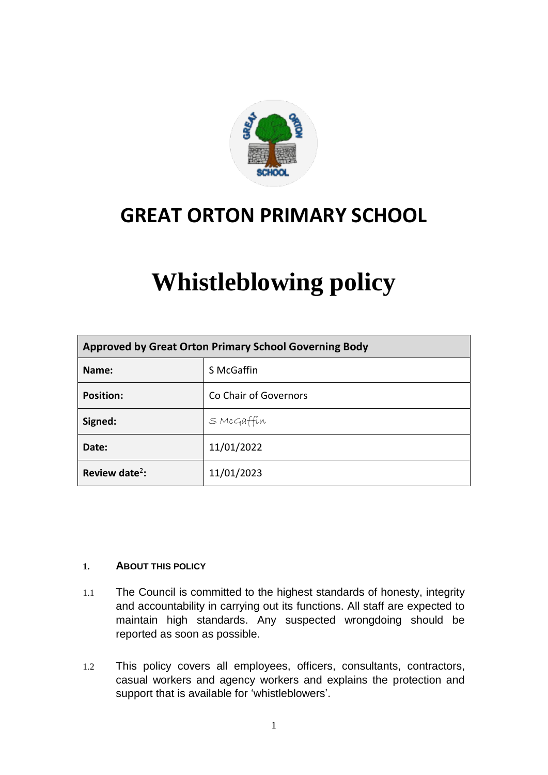

## **GREAT ORTON PRIMARY SCHOOL**

# **Whistleblowing policy**

| Approved by Great Orton Primary School Governing Body |                       |
|-------------------------------------------------------|-----------------------|
| Name:                                                 | S McGaffin            |
| <b>Position:</b>                                      | Co Chair of Governors |
| Signed:                                               | S McGaffin            |
| Date:                                                 | 11/01/2022            |
| Review date <sup>2</sup> :                            | 11/01/2023            |

#### **1. ABOUT THIS POLICY**

- 1.1 The Council is committed to the highest standards of honesty, integrity and accountability in carrying out its functions. All staff are expected to maintain high standards. Any suspected wrongdoing should be reported as soon as possible.
- 1.2 This policy covers all employees, officers, consultants, contractors, casual workers and agency workers and explains the protection and support that is available for 'whistleblowers'.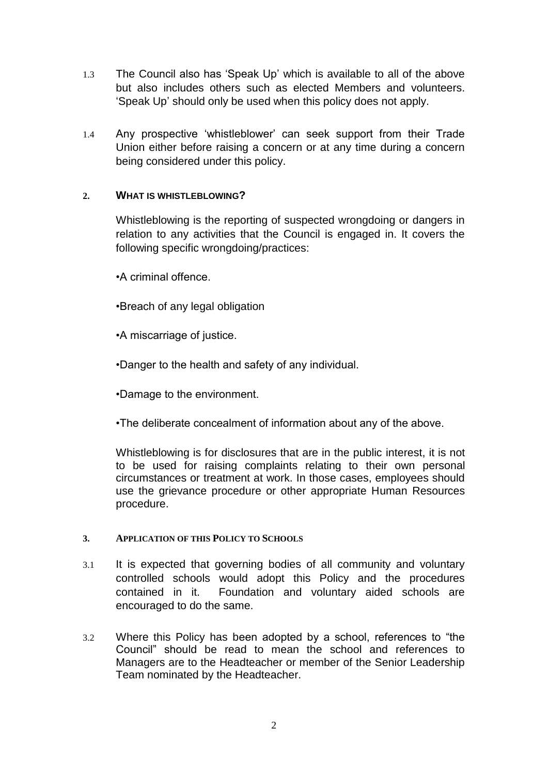- 1.3 The Council also has 'Speak Up' which is available to all of the above but also includes others such as elected Members and volunteers. 'Speak Up' should only be used when this policy does not apply.
- 1.4 Any prospective 'whistleblower' can seek support from their Trade Union either before raising a concern or at any time during a concern being considered under this policy.

#### **2. WHAT IS WHISTLEBLOWING?**

Whistleblowing is the reporting of suspected wrongdoing or dangers in relation to any activities that the Council is engaged in. It covers the following specific wrongdoing/practices:

•A criminal offence.

- •Breach of any legal obligation
- •A miscarriage of justice.
- •Danger to the health and safety of any individual.

•Damage to the environment.

•The deliberate concealment of information about any of the above.

Whistleblowing is for disclosures that are in the public interest, it is not to be used for raising complaints relating to their own personal circumstances or treatment at work. In those cases, employees should use the grievance procedure or other appropriate Human Resources procedure.

#### **3. APPLICATION OF THIS POLICY TO SCHOOLS**

- 3.1 It is expected that governing bodies of all community and voluntary controlled schools would adopt this Policy and the procedures contained in it. Foundation and voluntary aided schools are encouraged to do the same.
- 3.2 Where this Policy has been adopted by a school, references to "the Council" should be read to mean the school and references to Managers are to the Headteacher or member of the Senior Leadership Team nominated by the Headteacher.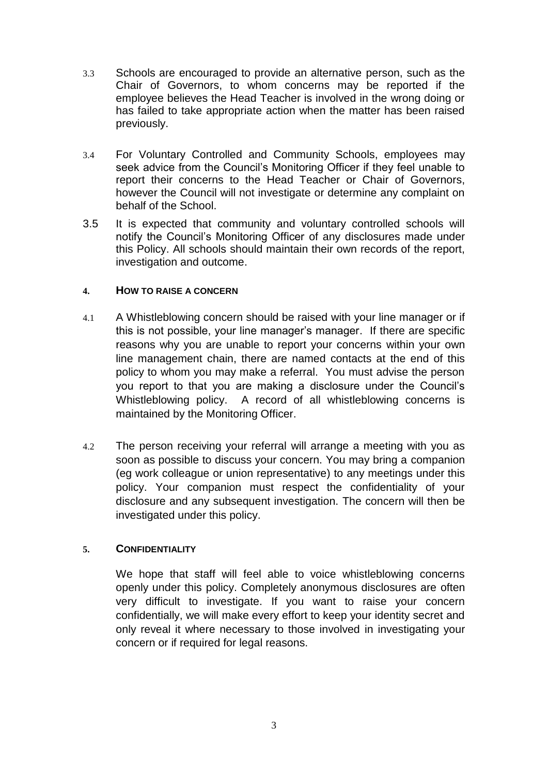- 3.3 Schools are encouraged to provide an alternative person, such as the Chair of Governors, to whom concerns may be reported if the employee believes the Head Teacher is involved in the wrong doing or has failed to take appropriate action when the matter has been raised previously.
- 3.4 For Voluntary Controlled and Community Schools, employees may seek advice from the Council's Monitoring Officer if they feel unable to report their concerns to the Head Teacher or Chair of Governors, however the Council will not investigate or determine any complaint on behalf of the School.
- 3.5 It is expected that community and voluntary controlled schools will notify the Council's Monitoring Officer of any disclosures made under this Policy. All schools should maintain their own records of the report, investigation and outcome.

#### **4. HOW TO RAISE A CONCERN**

- 4.1 A Whistleblowing concern should be raised with your line manager or if this is not possible, your line manager's manager. If there are specific reasons why you are unable to report your concerns within your own line management chain, there are named contacts at the end of this policy to whom you may make a referral. You must advise the person you report to that you are making a disclosure under the Council's Whistleblowing policy. A record of all whistleblowing concerns is maintained by the Monitoring Officer.
- 4.2 The person receiving your referral will arrange a meeting with you as soon as possible to discuss your concern. You may bring a companion (eg work colleague or union representative) to any meetings under this policy. Your companion must respect the confidentiality of your disclosure and any subsequent investigation. The concern will then be investigated under this policy.

#### **5. CONFIDENTIALITY**

We hope that staff will feel able to voice whistleblowing concerns openly under this policy. Completely anonymous disclosures are often very difficult to investigate. If you want to raise your concern confidentially, we will make every effort to keep your identity secret and only reveal it where necessary to those involved in investigating your concern or if required for legal reasons.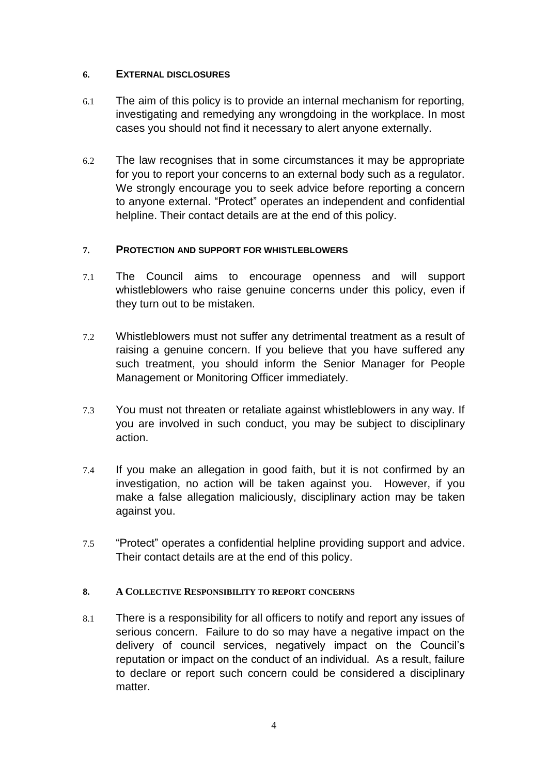#### **6. EXTERNAL DISCLOSURES**

- 6.1 The aim of this policy is to provide an internal mechanism for reporting, investigating and remedying any wrongdoing in the workplace. In most cases you should not find it necessary to alert anyone externally.
- 6.2 The law recognises that in some circumstances it may be appropriate for you to report your concerns to an external body such as a regulator. We strongly encourage you to seek advice before reporting a concern to anyone external. "Protect" operates an independent and confidential helpline. Their contact details are at the end of this policy.

#### **7. PROTECTION AND SUPPORT FOR WHISTLEBLOWERS**

- 7.1 The Council aims to encourage openness and will support whistleblowers who raise genuine concerns under this policy, even if they turn out to be mistaken.
- 7.2 Whistleblowers must not suffer any detrimental treatment as a result of raising a genuine concern. If you believe that you have suffered any such treatment, you should inform the Senior Manager for People Management or Monitoring Officer immediately.
- 7.3 You must not threaten or retaliate against whistleblowers in any way. If you are involved in such conduct, you may be subject to disciplinary action.
- 7.4 If you make an allegation in good faith, but it is not confirmed by an investigation, no action will be taken against you. However, if you make a false allegation maliciously, disciplinary action may be taken against you.
- 7.5 "Protect" operates a confidential helpline providing support and advice. Their contact details are at the end of this policy.

#### **8. A COLLECTIVE RESPONSIBILITY TO REPORT CONCERNS**

8.1 There is a responsibility for all officers to notify and report any issues of serious concern. Failure to do so may have a negative impact on the delivery of council services, negatively impact on the Council's reputation or impact on the conduct of an individual. As a result, failure to declare or report such concern could be considered a disciplinary matter.